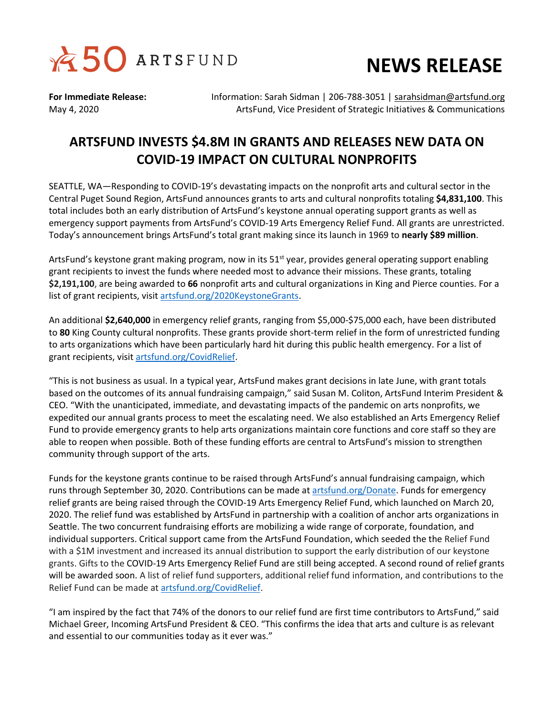



**For Immediate Release:** Information: Sarah Sidman | 206-788-3051 | [sarahsidman@artsfund.org](mailto:sarahsidman@artsfund.org) May 4, 2020 ArtsFund, Vice President of Strategic Initiatives & Communications

## **ARTSFUND INVESTS \$4.8M IN GRANTS AND RELEASES NEW DATA ON COVID-19 IMPACT ON CULTURAL NONPROFITS**

SEATTLE, WA—Responding to COVID-19's devastating impacts on the nonprofit arts and cultural sector in the Central Puget Sound Region, ArtsFund announces grants to arts and cultural nonprofits totaling **\$4,831,100**. This total includes both an early distribution of ArtsFund's keystone annual operating support grants as well as emergency support payments from ArtsFund's COVID-19 Arts Emergency Relief Fund. All grants are unrestricted. Today's announcement brings ArtsFund's total grant making since its launch in 1969 to **nearly \$89 million**.

ArtsFund's keystone grant making program, now in its 51<sup>st</sup> year, provides general operating support enabling grant recipients to invest the funds where needed most to advance their missions. These grants, totaling **\$2,191,100**, are being awarded to **66** nonprofit arts and cultural organizations in King and Pierce counties. For a list of grant recipients, visit [artsfund.org/2020KeystoneGrants.](http://www.artsfund.org/2020KeystoneGrants)

An additional **\$2,640,000** in emergency relief grants, ranging from \$5,000-\$75,000 each, have been distributed to **80** King County cultural nonprofits. These grants provide short-term relief in the form of unrestricted funding to arts organizations which have been particularly hard hit during this public health emergency. For a list of grant recipients, visit [artsfund.org/CovidRelief.](https://www.artsfund.org/covid-19-relief-fund/)

"This is not business as usual. In a typical year, ArtsFund makes grant decisions in late June, with grant totals based on the outcomes of its annual fundraising campaign," said Susan M. Coliton, ArtsFund Interim President & CEO. "With the unanticipated, immediate, and devastating impacts of the pandemic on arts nonprofits, we expedited our annual grants process to meet the escalating need. We also established an Arts Emergency Relief Fund to provide emergency grants to help arts organizations maintain core functions and core staff so they are able to reopen when possible. Both of these funding efforts are central to ArtsFund's mission to strengthen community through support of the arts.

Funds for the keystone grants continue to be raised through ArtsFund's annual fundraising campaign, which runs through September 30, 2020. Contributions can be made at [artsfund.org/Donate.](https://www.artsfund.org/donatenow/) Funds for emergency relief grants are being raised through the COVID-19 Arts Emergency Relief Fund, which launched on March 20, 2020. The relief fund was established by ArtsFund in partnership with a coalition of anchor arts organizations in Seattle. The two concurrent fundraising efforts are mobilizing a wide range of corporate, foundation, and individual supporters. Critical support came from the ArtsFund Foundation, which seeded the the Relief Fund with a \$1M investment and increased its annual distribution to support the early distribution of our keystone grants. Gifts to the COVID-19 Arts Emergency Relief Fund are still being accepted. A second round of relief grants will be awarded soon. A list of relief fund supporters, additional relief fund information, and contributions to the Relief Fund can be made at [artsfund.org/CovidRelief.](https://www.artsfund.org/covid-19-relief-fund/)

"I am inspired by the fact that 74% of the donors to our relief fund are first time contributors to ArtsFund," said Michael Greer, Incoming ArtsFund President & CEO. "This confirms the idea that arts and culture is as relevant and essential to our communities today as it ever was."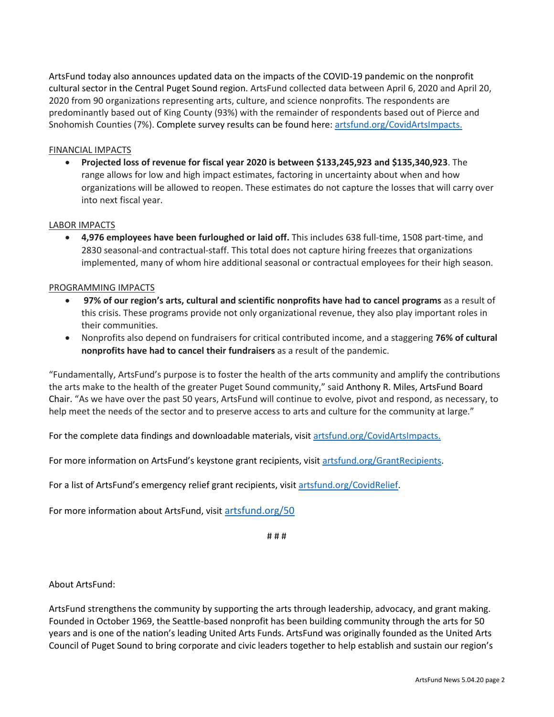ArtsFund today also announces updated data on the impacts of the COVID-19 pandemic on the nonprofit cultural sector in the Central Puget Sound region. ArtsFund collected data between April 6, 2020 and April 20, 2020 from 90 organizations representing arts, culture, and science nonprofits. The respondents are predominantly based out of King County (93%) with the remainder of respondents based out of Pierce and Snohomish Counties (7%). Complete survey results can be found here: [artsfund.org/CovidArtsImpacts.](http://www.artsfund.org/covid-arts-impacts)

## FINANCIAL IMPACTS

 **Projected loss of revenue for fiscal year 2020 is between \$133,245,923 and \$135,340,923**. The range allows for low and high impact estimates, factoring in uncertainty about when and how organizations will be allowed to reopen. These estimates do not capture the losses that will carry over into next fiscal year.

## LABOR IMPACTS

 **4,976 employees have been furloughed or laid off.** This includes 638 full-time, 1508 part-time, and 2830 seasonal-and contractual-staff. This total does not capture hiring freezes that organizations implemented, many of whom hire additional seasonal or contractual employees for their high season.

## PROGRAMMING IMPACTS

- **97% of our region's arts, cultural and scientific nonprofits have had to cancel programs** as a result of this crisis. These programs provide not only organizational revenue, they also play important roles in their communities.
- Nonprofits also depend on fundraisers for critical contributed income, and a staggering **76% of cultural nonprofits have had to cancel their fundraisers** as a result of the pandemic.

"Fundamentally, ArtsFund's purpose is to foster the health of the arts community and amplify the contributions the arts make to the health of the greater Puget Sound community," said Anthony R. Miles, ArtsFund Board Chair. "As we have over the past 50 years, ArtsFund will continue to evolve, pivot and respond, as necessary, to help meet the needs of the sector and to preserve access to arts and culture for the community at large."

For the complete data findings and downloadable materials, visit [artsfund.org/CovidArtsImpacts.](http://www.artsfund.org/covid-arts-impacts)

For more information on ArtsFund's keystone grant recipients, visi[t artsfund.org/GrantRecipients.](https://www.artsfund.org/about-arts-fund/arts-groups-we-support/)

For a list of ArtsFund's emergency relief grant recipients, visit [artsfund.org/CovidRelief.](https://www.artsfund.org/covid-19-relief-fund/)

For more information about ArtsFund, visit [artsfund.org/50](http://www.artsfund.org/50)

# # #

About ArtsFund:

ArtsFund strengthens the community by supporting the arts through leadership, advocacy, and grant making. Founded in October 1969, the Seattle-based nonprofit has been building community through the arts for 50 years and is one of the nation's leading United Arts Funds. ArtsFund was originally founded as the United Arts Council of Puget Sound to bring corporate and civic leaders together to help establish and sustain our region's